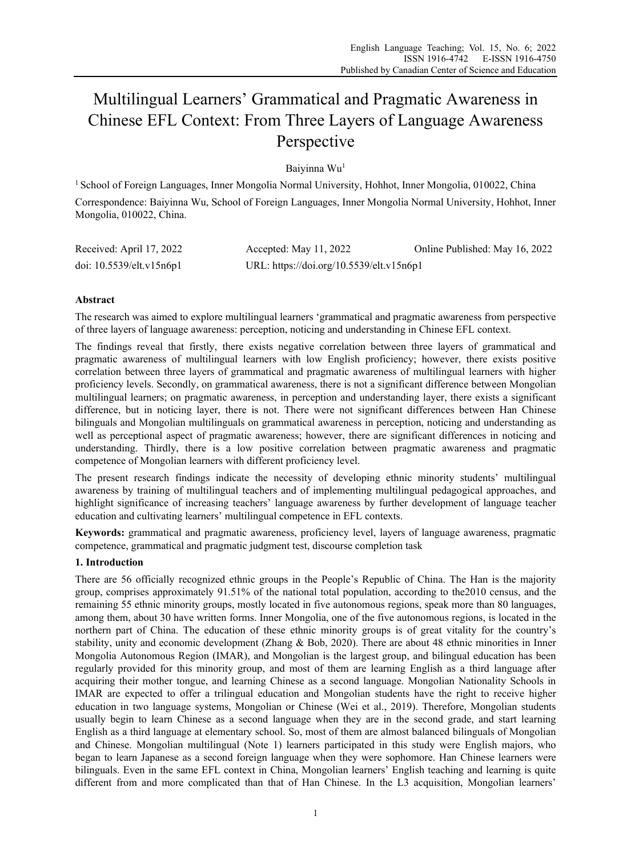# Multilingual Learners' Grammatical and Pragmatic Awareness in Chinese EFL Context: From Three Layers of Language Awareness Perspective

Baiyinna Wu1

<sup>1</sup> School of Foreign Languages, Inner Mongolia Normal University, Hohhot, Inner Mongolia, 010022, China Correspondence: Baiyinna Wu, School of Foreign Languages, Inner Mongolia Normal University, Hohhot, Inner Mongolia, 010022, China.

| Received: April 17, 2022 | Accepted: May 11, 2022                   | Online Published: May 16, 2022 |
|--------------------------|------------------------------------------|--------------------------------|
| doi: 10.5539/elt.v15n6p1 | URL: https://doi.org/10.5539/elt.v15n6p1 |                                |

# **Abstract**

The research was aimed to explore multilingual learners 'grammatical and pragmatic awareness from perspective of three layers of language awareness: perception, noticing and understanding in Chinese EFL context.

The findings reveal that firstly, there exists negative correlation between three layers of grammatical and pragmatic awareness of multilingual learners with low English proficiency; however, there exists positive correlation between three layers of grammatical and pragmatic awareness of multilingual learners with higher proficiency levels. Secondly, on grammatical awareness, there is not a significant difference between Mongolian multilingual learners; on pragmatic awareness, in perception and understanding layer, there exists a significant difference, but in noticing layer, there is not. There were not significant differences between Han Chinese bilinguals and Mongolian multilinguals on grammatical awareness in perception, noticing and understanding as well as perceptional aspect of pragmatic awareness; however, there are significant differences in noticing and understanding. Thirdly, there is a low positive correlation between pragmatic awareness and pragmatic competence of Mongolian learners with different proficiency level.

The present research findings indicate the necessity of developing ethnic minority students' multilingual awareness by training of multilingual teachers and of implementing multilingual pedagogical approaches, and highlight significance of increasing teachers' language awareness by further development of language teacher education and cultivating learners' multilingual competence in EFL contexts.

**Keywords:** grammatical and pragmatic awareness, proficiency level, layers of language awareness, pragmatic competence, grammatical and pragmatic judgment test, discourse completion task

# **1. Introduction**

There are 56 officially recognized ethnic groups in the People's Republic of China. The Han is the majority group, comprises approximately 91.51% of the national total population, according to the2010 census, and the remaining 55 ethnic minority groups, mostly located in five autonomous regions, speak more than 80 languages, among them, about 30 have written forms. Inner Mongolia, one of the five autonomous regions, is located in the northern part of China. The education of these ethnic minority groups is of great vitality for the country's stability, unity and economic development (Zhang & Bob, 2020). There are about 48 ethnic minorities in Inner Mongolia Autonomous Region (IMAR), and Mongolian is the largest group, and bilingual education has been regularly provided for this minority group, and most of them are learning English as a third language after acquiring their mother tongue, and learning Chinese as a second language. Mongolian Nationality Schools in IMAR are expected to offer a trilingual education and Mongolian students have the right to receive higher education in two language systems, Mongolian or Chinese (Wei et al., 2019). Therefore, Mongolian students usually begin to learn Chinese as a second language when they are in the second grade, and start learning English as a third language at elementary school. So, most of them are almost balanced bilinguals of Mongolian and Chinese. Mongolian multilingual (Note 1) learners participated in this study were English majors, who began to learn Japanese as a second foreign language when they were sophomore. Han Chinese learners were bilinguals. Even in the same EFL context in China, Mongolian learners' English teaching and learning is quite different from and more complicated than that of Han Chinese. In the L3 acquisition, Mongolian learners'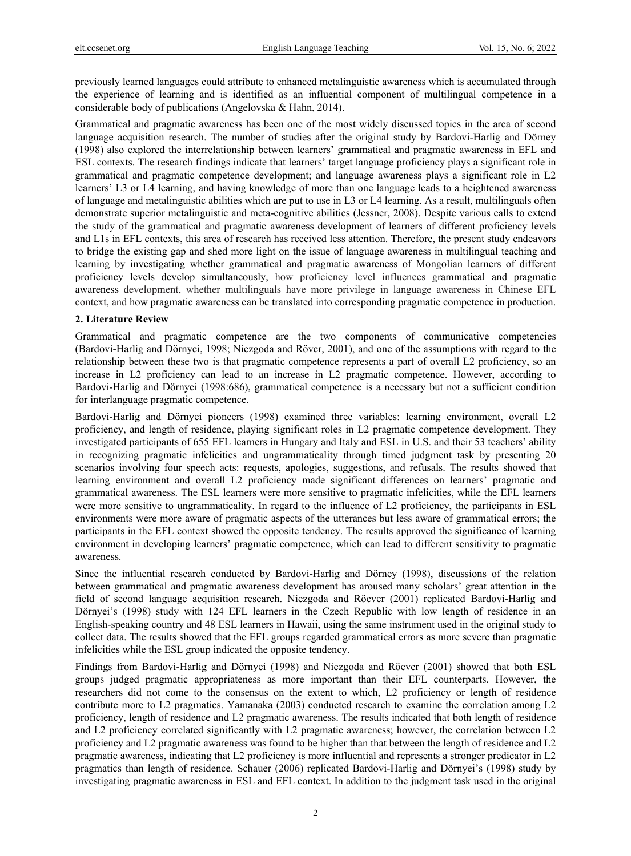previously learned languages could attribute to enhanced metalinguistic awareness which is accumulated through the experience of learning and is identified as an influential component of multilingual competence in a considerable body of publications (Angelovska & Hahn, 2014).

Grammatical and pragmatic awareness has been one of the most widely discussed topics in the area of second language acquisition research. The number of studies after the original study by Bardovi-Harlig and Dörney (1998) also explored the interrelationship between learners' grammatical and pragmatic awareness in EFL and ESL contexts. The research findings indicate that learners' target language proficiency plays a significant role in grammatical and pragmatic competence development; and language awareness plays a significant role in L2 learners' L3 or L4 learning, and having knowledge of more than one language leads to a heightened awareness of language and metalinguistic abilities which are put to use in L3 or L4 learning. As a result, multilinguals often demonstrate superior metalinguistic and meta-cognitive abilities (Jessner, 2008). Despite various calls to extend the study of the grammatical and pragmatic awareness development of learners of different proficiency levels and L1s in EFL contexts, this area of research has received less attention. Therefore, the present study endeavors to bridge the existing gap and shed more light on the issue of language awareness in multilingual teaching and learning by investigating whether grammatical and pragmatic awareness of Mongolian learners of different proficiency levels develop simultaneously, how proficiency level influences grammatical and pragmatic awareness development, whether multilinguals have more privilege in language awareness in Chinese EFL context, and how pragmatic awareness can be translated into corresponding pragmatic competence in production.

#### **2. Literature Review**

Grammatical and pragmatic competence are the two components of communicative competencies (Bardovi-Harlig and Dörnyei, 1998; Niezgoda and Röver, 2001), and one of the assumptions with regard to the relationship between these two is that pragmatic competence represents a part of overall L2 proficiency, so an increase in L2 proficiency can lead to an increase in L2 pragmatic competence. However, according to Bardovi-Harlig and Dörnyei (1998:686), grammatical competence is a necessary but not a sufficient condition for interlanguage pragmatic competence.

Bardovi-Harlig and Dörnyei pioneers (1998) examined three variables: learning environment, overall L2 proficiency, and length of residence, playing significant roles in L2 pragmatic competence development. They investigated participants of 655 EFL learners in Hungary and Italy and ESL in U.S. and their 53 teachers' ability in recognizing pragmatic infelicities and ungrammaticality through timed judgment task by presenting 20 scenarios involving four speech acts: requests, apologies, suggestions, and refusals. The results showed that learning environment and overall L2 proficiency made significant differences on learners' pragmatic and grammatical awareness. The ESL learners were more sensitive to pragmatic infelicities, while the EFL learners were more sensitive to ungrammaticality. In regard to the influence of L2 proficiency, the participants in ESL environments were more aware of pragmatic aspects of the utterances but less aware of grammatical errors; the participants in the EFL context showed the opposite tendency. The results approved the significance of learning environment in developing learners' pragmatic competence, which can lead to different sensitivity to pragmatic awareness.

Since the influential research conducted by Bardovi-Harlig and Dörney (1998), discussions of the relation between grammatical and pragmatic awareness development has aroused many scholars' great attention in the field of second language acquisition research. Niezgoda and Röever (2001) replicated Bardovi-Harlig and Dörnyei's (1998) study with 124 EFL learners in the Czech Republic with low length of residence in an English-speaking country and 48 ESL learners in Hawaii, using the same instrument used in the original study to collect data. The results showed that the EFL groups regarded grammatical errors as more severe than pragmatic infelicities while the ESL group indicated the opposite tendency.

Findings from Bardovi-Harlig and Dörnyei (1998) and Niezgoda and Röever (2001) showed that both ESL groups judged pragmatic appropriateness as more important than their EFL counterparts. However, the researchers did not come to the consensus on the extent to which, L2 proficiency or length of residence contribute more to L2 pragmatics. Yamanaka (2003) conducted research to examine the correlation among L2 proficiency, length of residence and L2 pragmatic awareness. The results indicated that both length of residence and L2 proficiency correlated significantly with L2 pragmatic awareness; however, the correlation between L2 proficiency and L2 pragmatic awareness was found to be higher than that between the length of residence and L2 pragmatic awareness, indicating that L2 proficiency is more influential and represents a stronger predicator in L2 pragmatics than length of residence. Schauer (2006) replicated Bardovi-Harlig and Dörnyei's (1998) study by investigating pragmatic awareness in ESL and EFL context. In addition to the judgment task used in the original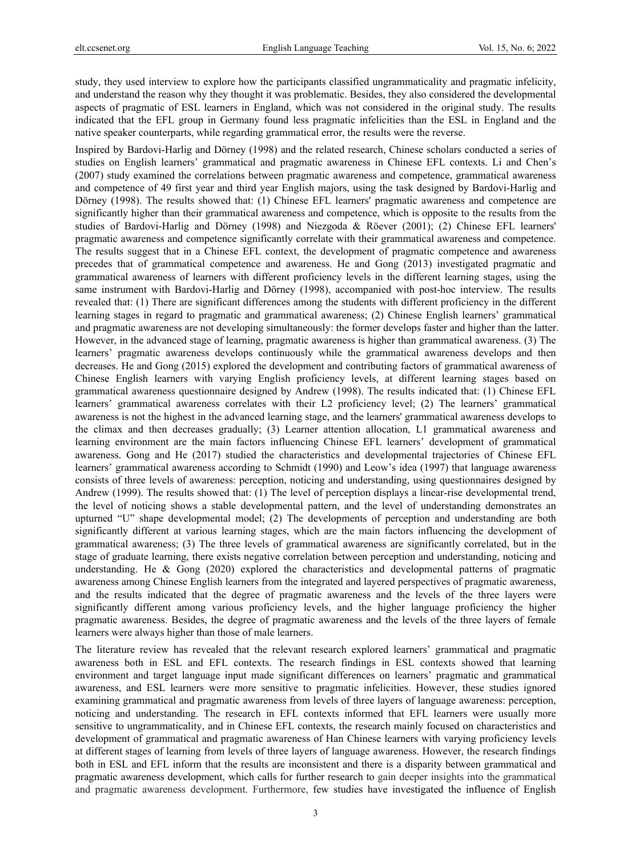study, they used interview to explore how the participants classified ungrammaticality and pragmatic infelicity, and understand the reason why they thought it was problematic. Besides, they also considered the developmental aspects of pragmatic of ESL learners in England, which was not considered in the original study. The results indicated that the EFL group in Germany found less pragmatic infelicities than the ESL in England and the native speaker counterparts, while regarding grammatical error, the results were the reverse.

Inspired by Bardovi-Harlig and Dörney (1998) and the related research, Chinese scholars conducted a series of studies on English learners' grammatical and pragmatic awareness in Chinese EFL contexts. Li and Chen's (2007) study examined the correlations between pragmatic awareness and competence, grammatical awareness and competence of 49 first year and third year English majors, using the task designed by Bardovi-Harlig and Dörney (1998). The results showed that: (1) Chinese EFL learners' pragmatic awareness and competence are significantly higher than their grammatical awareness and competence, which is opposite to the results from the studies of Bardovi-Harlig and Dörney (1998) and Niezgoda & Röever (2001); (2) Chinese EFL learners' pragmatic awareness and competence significantly correlate with their grammatical awareness and competence. The results suggest that in a Chinese EFL context, the development of pragmatic competence and awareness precedes that of grammatical competence and awareness. He and Gong (2013) investigated pragmatic and grammatical awareness of learners with different proficiency levels in the different learning stages, using the same instrument with Bardovi-Harlig and Dörney (1998), accompanied with post-hoc interview. The results revealed that: (1) There are significant differences among the students with different proficiency in the different learning stages in regard to pragmatic and grammatical awareness; (2) Chinese English learners' grammatical and pragmatic awareness are not developing simultaneously: the former develops faster and higher than the latter. However, in the advanced stage of learning, pragmatic awareness is higher than grammatical awareness. (3) The learners' pragmatic awareness develops continuously while the grammatical awareness develops and then decreases. He and Gong (2015) explored the development and contributing factors of grammatical awareness of Chinese English learners with varying English proficiency levels, at different learning stages based on grammatical awareness questionnaire designed by Andrew (1998). The results indicated that: (1) Chinese EFL learners' grammatical awareness correlates with their L2 proficiency level; (2) The learners' grammatical awareness is not the highest in the advanced learning stage, and the learners' grammatical awareness develops to the climax and then decreases gradually; (3) Learner attention allocation, L1 grammatical awareness and learning environment are the main factors influencing Chinese EFL learners' development of grammatical awareness. Gong and He (2017) studied the characteristics and developmental trajectories of Chinese EFL learners' grammatical awareness according to Schmidt (1990) and Leow's idea (1997) that language awareness consists of three levels of awareness: perception, noticing and understanding, using questionnaires designed by Andrew (1999). The results showed that: (1) The level of perception displays a linear-rise developmental trend, the level of noticing shows a stable developmental pattern, and the level of understanding demonstrates an upturned "U" shape developmental model; (2) The developments of perception and understanding are both significantly different at various learning stages, which are the main factors influencing the development of grammatical awareness; (3) The three levels of grammatical awareness are significantly correlated, but in the stage of graduate learning, there exists negative correlation between perception and understanding, noticing and understanding. He & Gong (2020) explored the characteristics and developmental patterns of pragmatic awareness among Chinese English learners from the integrated and layered perspectives of pragmatic awareness, and the results indicated that the degree of pragmatic awareness and the levels of the three layers were significantly different among various proficiency levels, and the higher language proficiency the higher pragmatic awareness. Besides, the degree of pragmatic awareness and the levels of the three layers of female learners were always higher than those of male learners.

The literature review has revealed that the relevant research explored learners' grammatical and pragmatic awareness both in ESL and EFL contexts. The research findings in ESL contexts showed that learning environment and target language input made significant differences on learners' pragmatic and grammatical awareness, and ESL learners were more sensitive to pragmatic infelicities. However, these studies ignored examining grammatical and pragmatic awareness from levels of three layers of language awareness: perception, noticing and understanding. The research in EFL contexts informed that EFL learners were usually more sensitive to ungrammaticality, and in Chinese EFL contexts, the research mainly focused on characteristics and development of grammatical and pragmatic awareness of Han Chinese learners with varying proficiency levels at different stages of learning from levels of three layers of language awareness. However, the research findings both in ESL and EFL inform that the results are inconsistent and there is a disparity between grammatical and pragmatic awareness development, which calls for further research to gain deeper insights into the grammatical and pragmatic awareness development. Furthermore, few studies have investigated the influence of English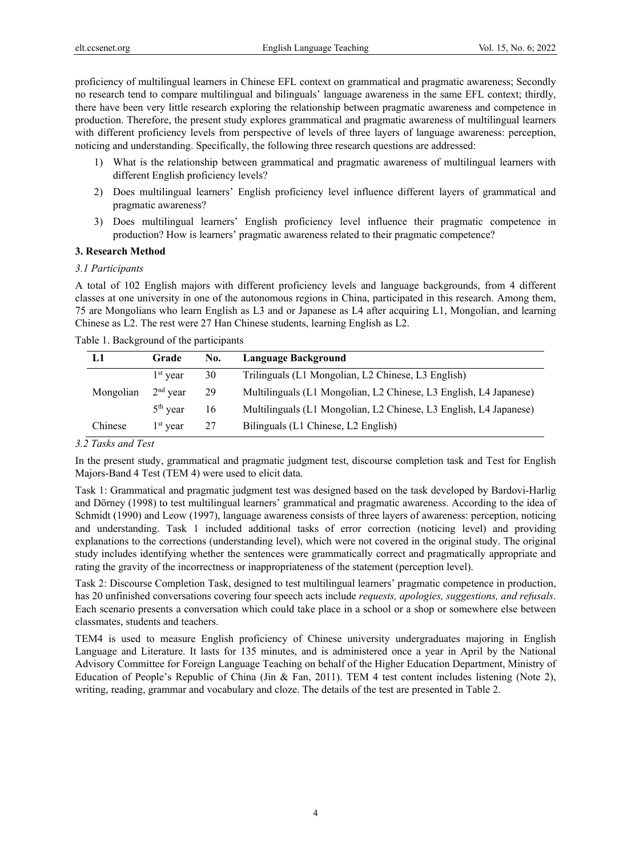proficiency of multilingual learners in Chinese EFL context on grammatical and pragmatic awareness; Secondly no research tend to compare multilingual and bilinguals' language awareness in the same EFL context; thirdly, there have been very little research exploring the relationship between pragmatic awareness and competence in production. Therefore, the present study explores grammatical and pragmatic awareness of multilingual learners with different proficiency levels from perspective of levels of three layers of language awareness: perception, noticing and understanding. Specifically, the following three research questions are addressed:

- 1) What is the relationship between grammatical and pragmatic awareness of multilingual learners with different English proficiency levels?
- 2) Does multilingual learners' English proficiency level influence different layers of grammatical and pragmatic awareness?
- 3) Does multilingual learners' English proficiency level influence their pragmatic competence in production? How is learners' pragmatic awareness related to their pragmatic competence?

# **3. Research Method**

# *3.1 Participants*

A total of 102 English majors with different proficiency levels and language backgrounds, from 4 different classes at one university in one of the autonomous regions in China, participated in this research. Among them, 75 are Mongolians who learn English as L3 and or Japanese as L4 after acquiring L1, Mongolian, and learning Chinese as L2. The rest were 27 Han Chinese students, learning English as L2.

Table 1. Background of the participants

|           | Grade                | No. | Language Background                                               |
|-----------|----------------------|-----|-------------------------------------------------------------------|
|           | $1st$ year           | 30  | Trilinguals (L1 Mongolian, L2 Chinese, L3 English)                |
| Mongolian | $2nd$ year           | 29  | Multilinguals (L1 Mongolian, L2 Chinese, L3 English, L4 Japanese) |
|           | $5th$ year           | 16  | Multilinguals (L1 Mongolian, L2 Chinese, L3 English, L4 Japanese) |
| Chinese   | 1 <sup>st</sup> vear | 27  | Bilinguals (L1 Chinese, L2 English)                               |

#### *3.2 Tasks and Test*

In the present study, grammatical and pragmatic judgment test, discourse completion task and Test for English Majors-Band 4 Test (TEM 4) were used to elicit data.

Task 1: Grammatical and pragmatic judgment test was designed based on the task developed by Bardovi-Harlig and Dörney (1998) to test multilingual learners' grammatical and pragmatic awareness. According to the idea of Schmidt (1990) and Leow (1997), language awareness consists of three layers of awareness: perception, noticing and understanding. Task 1 included additional tasks of error correction (noticing level) and providing explanations to the corrections (understanding level), which were not covered in the original study. The original study includes identifying whether the sentences were grammatically correct and pragmatically appropriate and rating the gravity of the incorrectness or inappropriateness of the statement (perception level).

Task 2: Discourse Completion Task, designed to test multilingual learners' pragmatic competence in production, has 20 unfinished conversations covering four speech acts include *requests, apologies, suggestions, and refusals*. Each scenario presents a conversation which could take place in a school or a shop or somewhere else between classmates, students and teachers.

TEM4 is used to measure English proficiency of Chinese university undergraduates majoring in English Language and Literature. It lasts for 135 minutes, and is administered once a year in April by the National Advisory Committee for Foreign Language Teaching on behalf of the Higher Education Department, Ministry of Education of People's Republic of China (Jin & Fan, 2011). TEM 4 test content includes listening (Note 2), writing, reading, grammar and vocabulary and cloze. The details of the test are presented in Table 2.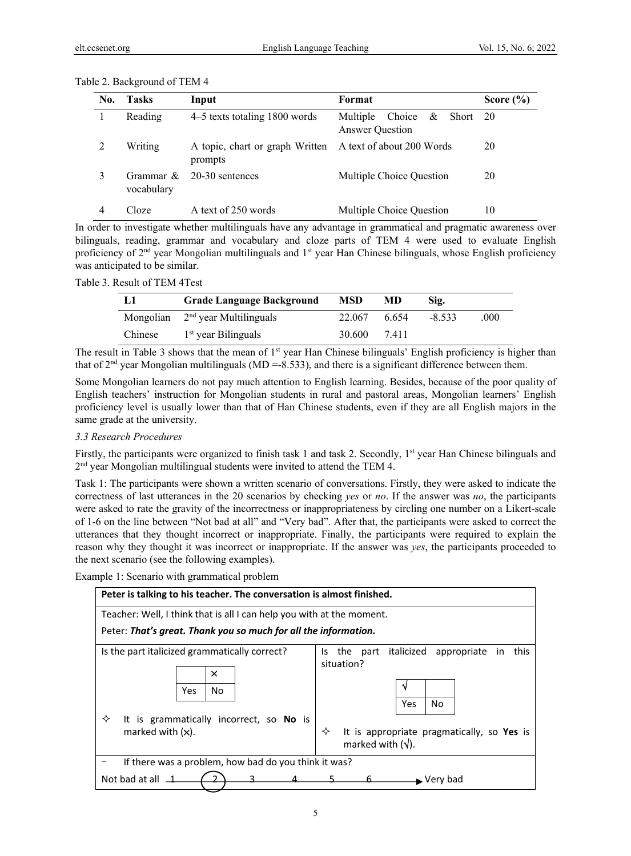| No. | <b>Tasks</b>            | Input                                                                | Format                                                  | Score $(\% )$ |
|-----|-------------------------|----------------------------------------------------------------------|---------------------------------------------------------|---------------|
|     | Reading                 | 4–5 texts totaling 1800 words                                        | Choice & Short 20<br>Multiple<br><b>Answer Question</b> |               |
|     | Writing                 | A topic, chart or graph Written A text of about 200 Words<br>prompts |                                                         | 20            |
|     | Grammar &<br>vocabulary | 20-30 sentences                                                      | Multiple Choice Question                                | 20            |
|     | Cloze                   | A text of 250 words                                                  | Multiple Choice Question                                | 10            |

| Table 2. Background of TEM 4 |  |
|------------------------------|--|
|                              |  |

In order to investigate whether multilinguals have any advantage in grammatical and pragmatic awareness over bilinguals, reading, grammar and vocabulary and cloze parts of TEM 4 were used to evaluate English proficiency of 2<sup>nd</sup> year Mongolian multilinguals and 1<sup>st</sup> year Han Chinese bilinguals, whose English proficiency was anticipated to be similar.

| L1      | <b>Grade Language Background</b>   | <b>MSD</b> | MD    | Sig.     |      |
|---------|------------------------------------|------------|-------|----------|------|
|         | Mongolian $2nd$ year Multilinguals | 22.067     | 6.654 | $-8.533$ | .000 |
| Chinese | 1 <sup>st</sup> year Bilinguals    | 30.600     | 7.411 |          |      |

The result in Table 3 shows that the mean of 1<sup>st</sup> year Han Chinese bilinguals' English proficiency is higher than that of  $2<sup>nd</sup>$  year Mongolian multilinguals (MD =-8.533), and there is a significant difference between them.

Some Mongolian learners do not pay much attention to English learning. Besides, because of the poor quality of English teachers' instruction for Mongolian students in rural and pastoral areas, Mongolian learners' English proficiency level is usually lower than that of Han Chinese students, even if they are all English majors in the same grade at the university.

# *3.3 Research Procedures*

Firstly, the participants were organized to finish task 1 and task 2. Secondly, 1<sup>st</sup> year Han Chinese bilinguals and 2<sup>nd</sup> year Mongolian multilingual students were invited to attend the TEM 4.

Task 1: The participants were shown a written scenario of conversations. Firstly, they were asked to indicate the correctness of last utterances in the 20 scenarios by checking *yes* or *no*. If the answer was *no*, the participants were asked to rate the gravity of the incorrectness or inappropriateness by circling one number on a Likert-scale of 1-6 on the line between "Not bad at all" and "Very bad". After that, the participants were asked to correct the utterances that they thought incorrect or inappropriate. Finally, the participants were required to explain the reason why they thought it was incorrect or inappropriate. If the answer was *yes*, the participants proceeded to the next scenario (see the following examples).

Example 1: Scenario with grammatical problem

| Peter is talking to his teacher. The conversation is almost finished.                                                                                                                                                                                                                                           |                                |  |  |  |  |  |
|-----------------------------------------------------------------------------------------------------------------------------------------------------------------------------------------------------------------------------------------------------------------------------------------------------------------|--------------------------------|--|--|--|--|--|
| Teacher: Well, I think that is all I can help you with at the moment.<br>Peter: That's great. Thank you so much for all the information.                                                                                                                                                                        |                                |  |  |  |  |  |
| Is the part italicized grammatically correct?<br>italicized<br>this<br>the part<br>appropriate<br>in<br>Is.<br>situation?<br>×<br>No<br>Yes<br>Yes<br>No<br>✧<br>It is grammatically incorrect, so No is<br>marked with $(x)$ .<br>It is appropriate pragmatically, so Yes is<br>✧<br>marked with $(\sqrt{})$ . |                                |  |  |  |  |  |
| If there was a problem, how bad do you think it was?                                                                                                                                                                                                                                                            |                                |  |  |  |  |  |
| Not bad at all $\overline{\phantom{a}}$                                                                                                                                                                                                                                                                         | $\blacktriangleright$ Verv bad |  |  |  |  |  |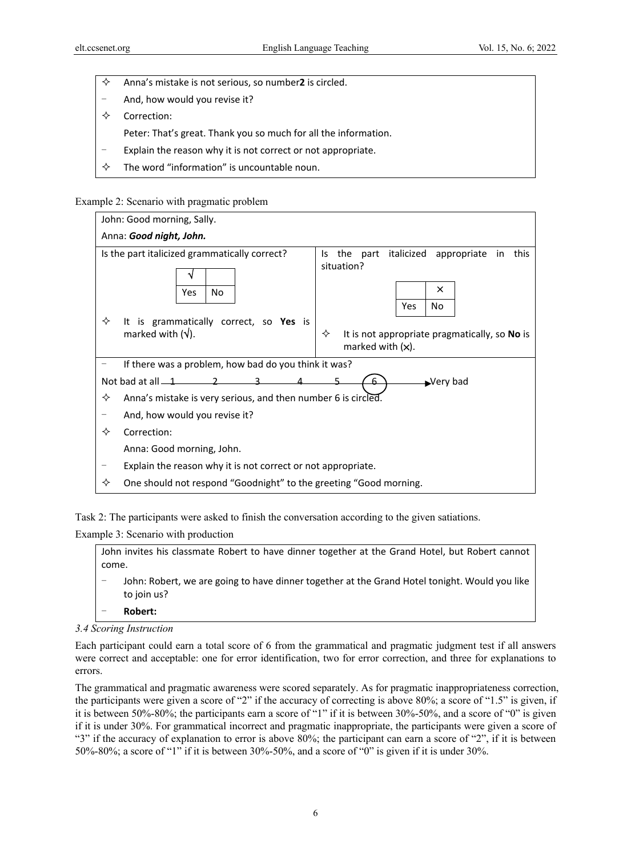- $\Diamond$  Anna's mistake is not serious, so number2 is circled.
- And, how would you revise it?
- $\Leftrightarrow$  Correction:
	- Peter: That's great. Thank you so much for all the information.
- Explain the reason why it is not correct or not appropriate.
- $\Diamond$  The word "information" is uncountable noun.

#### Example 2: Scenario with pragmatic problem



Task 2: The participants were asked to finish the conversation according to the given satiations.

Example 3: Scenario with production

John invites his classmate Robert to have dinner together at the Grand Hotel, but Robert cannot come.

John: Robert, we are going to have dinner together at the Grand Hotel tonight. Would you like to join us?

- **Robert:**
- *3.4 Scoring Instruction*

Each participant could earn a total score of 6 from the grammatical and pragmatic judgment test if all answers were correct and acceptable: one for error identification, two for error correction, and three for explanations to errors.

The grammatical and pragmatic awareness were scored separately. As for pragmatic inappropriateness correction, the participants were given a score of "2" if the accuracy of correcting is above 80%; a score of "1.5" is given, if it is between 50%-80%; the participants earn a score of "1" if it is between 30%-50%, and a score of "0" is given if it is under 30%. For grammatical incorrect and pragmatic inappropriate, the participants were given a score of "3" if the accuracy of explanation to error is above 80%; the participant can earn a score of "2", if it is between 50%-80%; a score of "1" if it is between 30%-50%, and a score of "0" is given if it is under 30%.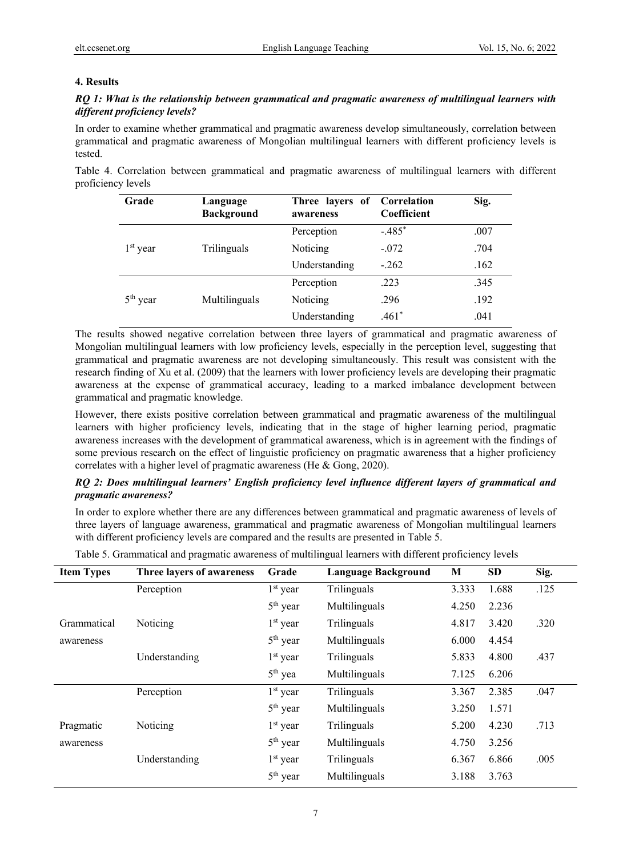# **4. Results**

# *RQ 1: What is the relationship between grammatical and pragmatic awareness of multilingual learners with different proficiency levels?*

In order to examine whether grammatical and pragmatic awareness develop simultaneously, correlation between grammatical and pragmatic awareness of Mongolian multilingual learners with different proficiency levels is tested.

Table 4. Correlation between grammatical and pragmatic awareness of multilingual learners with different proficiency levels

| Grade      | Language<br><b>Background</b> | Three layers of<br>awareness | Correlation<br>Coefficient | Sig. |
|------------|-------------------------------|------------------------------|----------------------------|------|
|            |                               | Perception                   | $-.485*$                   | .007 |
| $1st$ year | Trilinguals                   | Noticing                     | $-.072$                    | .704 |
|            |                               | Understanding                | $-.262$                    | .162 |
|            |                               | Perception                   | .223                       | .345 |
| $5th$ year | Multilinguals                 | Noticing                     | .296                       | .192 |
|            |                               | Understanding                | $.461*$                    | .041 |

The results showed negative correlation between three layers of grammatical and pragmatic awareness of Mongolian multilingual learners with low proficiency levels, especially in the perception level, suggesting that grammatical and pragmatic awareness are not developing simultaneously. This result was consistent with the research finding of Xu et al. (2009) that the learners with lower proficiency levels are developing their pragmatic awareness at the expense of grammatical accuracy, leading to a marked imbalance development between grammatical and pragmatic knowledge.

However, there exists positive correlation between grammatical and pragmatic awareness of the multilingual learners with higher proficiency levels, indicating that in the stage of higher learning period, pragmatic awareness increases with the development of grammatical awareness, which is in agreement with the findings of some previous research on the effect of linguistic proficiency on pragmatic awareness that a higher proficiency correlates with a higher level of pragmatic awareness (He & Gong, 2020).

# *RQ 2: Does multilingual learners' English proficiency level influence different layers of grammatical and pragmatic awareness?*

In order to explore whether there are any differences between grammatical and pragmatic awareness of levels of three layers of language awareness, grammatical and pragmatic awareness of Mongolian multilingual learners with different proficiency levels are compared and the results are presented in Table 5.

|  | Table 5. Grammatical and pragmatic awareness of multilingual learners with different proficiency levels |  |  |  |
|--|---------------------------------------------------------------------------------------------------------|--|--|--|
|  |                                                                                                         |  |  |  |

| <b>Item Types</b> | Three layers of awareness | Grade                | <b>Language Background</b> | M     | <b>SD</b> | Sig. |
|-------------------|---------------------------|----------------------|----------------------------|-------|-----------|------|
|                   | Perception                | $1st$ year           | Trilinguals                | 3.333 | 1.688     | .125 |
|                   |                           | 5 <sup>th</sup> year | Multilinguals              | 4.250 | 2.236     |      |
| Grammatical       | Noticing                  | $1st$ year           | Trilinguals                | 4.817 | 3.420     | .320 |
| awareness         |                           | $5th$ year           | Multilinguals              | 6.000 | 4.454     |      |
|                   | Understanding             | $1st$ year           | Trilinguals                | 5.833 | 4.800     | .437 |
|                   |                           | $5th$ yea            | Multilinguals              | 7.125 | 6.206     |      |
|                   | Perception                | $1st$ year           | Trilinguals                | 3.367 | 2.385     | .047 |
|                   |                           | $5th$ year           | Multilinguals              | 3.250 | 1.571     |      |
| Pragmatic         | Noticing                  | $1st$ year           | Trilinguals                | 5.200 | 4.230     | .713 |
| awareness         |                           | 5 <sup>th</sup> year | Multilinguals              | 4.750 | 3.256     |      |
|                   | Understanding             | $1st$ year           | Trilinguals                | 6.367 | 6.866     | .005 |
|                   |                           | 5 <sup>th</sup> year | Multilinguals              | 3.188 | 3.763     |      |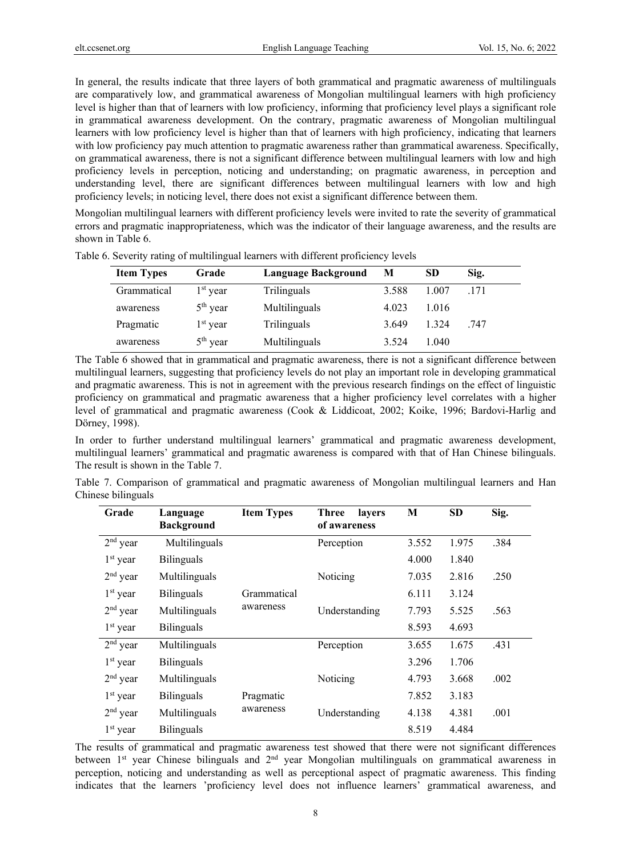In general, the results indicate that three layers of both grammatical and pragmatic awareness of multilinguals are comparatively low, and grammatical awareness of Mongolian multilingual learners with high proficiency level is higher than that of learners with low proficiency, informing that proficiency level plays a significant role in grammatical awareness development. On the contrary, pragmatic awareness of Mongolian multilingual learners with low proficiency level is higher than that of learners with high proficiency, indicating that learners with low proficiency pay much attention to pragmatic awareness rather than grammatical awareness. Specifically, on grammatical awareness, there is not a significant difference between multilingual learners with low and high proficiency levels in perception, noticing and understanding; on pragmatic awareness, in perception and understanding level, there are significant differences between multilingual learners with low and high proficiency levels; in noticing level, there does not exist a significant difference between them.

Mongolian multilingual learners with different proficiency levels were invited to rate the severity of grammatical errors and pragmatic inappropriateness, which was the indicator of their language awareness, and the results are shown in Table 6.

| <b>Item Types</b> | Grade      | Language Background | M     | <b>SD</b> | Sig. |
|-------------------|------------|---------------------|-------|-----------|------|
| Grammatical       | $1st$ year | Trilinguals         | 3.588 | 1.007     | .171 |
| awareness         | $5th$ year | Multilinguals       | 4.023 | 1.016     |      |
| Pragmatic         | $1st$ year | Trilinguals         | 3.649 | 1.324     | .747 |
| awareness         | $5th$ year | Multilinguals       | 3.524 | 1.040     |      |

Table 6. Severity rating of multilingual learners with different proficiency levels

The Table 6 showed that in grammatical and pragmatic awareness, there is not a significant difference between multilingual learners, suggesting that proficiency levels do not play an important role in developing grammatical and pragmatic awareness. This is not in agreement with the previous research findings on the effect of linguistic proficiency on grammatical and pragmatic awareness that a higher proficiency level correlates with a higher level of grammatical and pragmatic awareness (Cook & Liddicoat, 2002; Koike, 1996; Bardovi-Harlig and Dörney, 1998).

In order to further understand multilingual learners' grammatical and pragmatic awareness development, multilingual learners' grammatical and pragmatic awareness is compared with that of Han Chinese bilinguals. The result is shown in the Table 7.

Table 7. Comparison of grammatical and pragmatic awareness of Mongolian multilingual learners and Han Chinese bilinguals

| Grade      | Language<br><b>Background</b> | <b>Item Types</b> | <b>Three</b><br>lavers<br>of awareness | M     | <b>SD</b> | Sig. |
|------------|-------------------------------|-------------------|----------------------------------------|-------|-----------|------|
| $2nd$ year | Multilinguals                 |                   | Perception                             | 3.552 | 1.975     | .384 |
| $1st$ year | <b>Bilinguals</b>             |                   |                                        | 4.000 | 1.840     |      |
| $2nd$ year | Multilinguals                 |                   | Noticing                               | 7.035 | 2.816     | .250 |
| $1st$ year | <b>Bilinguals</b>             | Grammatical       |                                        | 6.111 | 3.124     |      |
| $2nd$ year | Multilinguals                 | awareness         | Understanding                          | 7.793 | 5.525     | .563 |
| $1st$ year | <b>Bilinguals</b>             |                   |                                        | 8.593 | 4.693     |      |
| $2nd$ year | Multilinguals                 |                   | Perception                             | 3.655 | 1.675     | .431 |
| $1st$ year | <b>Bilinguals</b>             |                   |                                        | 3.296 | 1.706     |      |
| $2nd$ year | Multilinguals                 |                   | Noticing                               | 4.793 | 3.668     | .002 |
| $1st$ year | <b>Bilinguals</b>             | Pragmatic         |                                        | 7.852 | 3.183     |      |
| $2nd$ year | Multilinguals                 | awareness         | Understanding                          | 4.138 | 4.381     | .001 |
| $1st$ year | <b>Bilinguals</b>             |                   |                                        | 8.519 | 4.484     |      |

The results of grammatical and pragmatic awareness test showed that there were not significant differences between 1<sup>st</sup> year Chinese bilinguals and 2<sup>nd</sup> year Mongolian multilinguals on grammatical awareness in perception, noticing and understanding as well as perceptional aspect of pragmatic awareness. This finding indicates that the learners 'proficiency level does not influence learners' grammatical awareness, and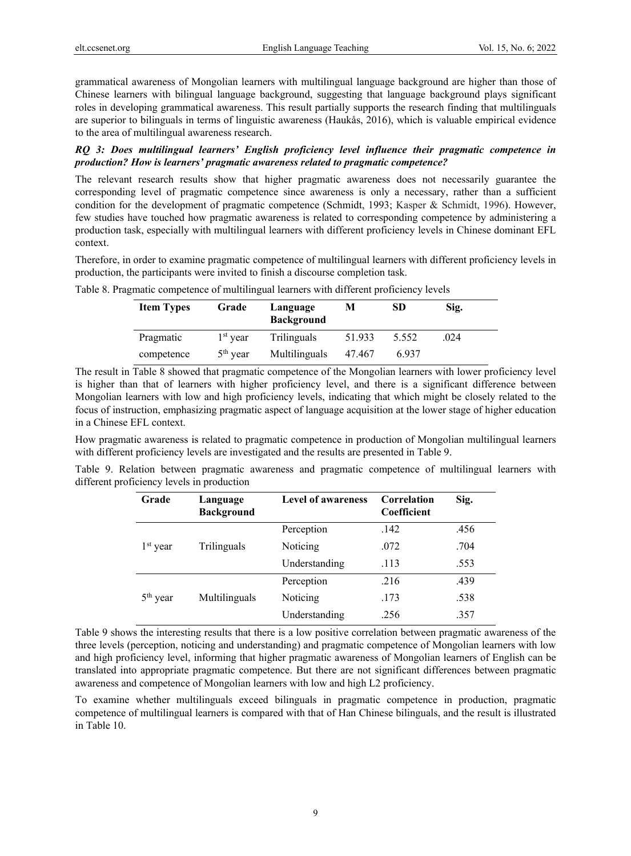grammatical awareness of Mongolian learners with multilingual language background are higher than those of Chinese learners with bilingual language background, suggesting that language background plays significant roles in developing grammatical awareness. This result partially supports the research finding that multilinguals are superior to bilinguals in terms of linguistic awareness (Haukås, 2016), which is valuable empirical evidence to the area of multilingual awareness research.

# *RQ 3: Does multilingual learners' English proficiency level influence their pragmatic competence in production? How is learners' pragmatic awareness related to pragmatic competence?*

The relevant research results show that higher pragmatic awareness does not necessarily guarantee the corresponding level of pragmatic competence since awareness is only a necessary, rather than a sufficient condition for the development of pragmatic competence (Schmidt, 1993; Kasper & Schmidt, 1996). However, few studies have touched how pragmatic awareness is related to corresponding competence by administering a production task, especially with multilingual learners with different proficiency levels in Chinese dominant EFL context.

Therefore, in order to examine pragmatic competence of multilingual learners with different proficiency levels in production, the participants were invited to finish a discourse completion task.

| <b>Item Types</b> | Grade      | Language<br><b>Background</b> | М      | <b>SD</b> | Sig. |
|-------------------|------------|-------------------------------|--------|-----------|------|
| Pragmatic         | $1st$ vear | Trilinguals                   | 51.933 | 5.552     | .024 |
| competence        | $5th$ year | Multilinguals                 | 47.467 | 6.937     |      |

Table 8. Pragmatic competence of multilingual learners with different proficiency levels

The result in Table 8 showed that pragmatic competence of the Mongolian learners with lower proficiency level is higher than that of learners with higher proficiency level, and there is a significant difference between Mongolian learners with low and high proficiency levels, indicating that which might be closely related to the focus of instruction, emphasizing pragmatic aspect of language acquisition at the lower stage of higher education in a Chinese EFL context.

How pragmatic awareness is related to pragmatic competence in production of Mongolian multilingual learners with different proficiency levels are investigated and the results are presented in Table 9.

Table 9. Relation between pragmatic awareness and pragmatic competence of multilingual learners with different proficiency levels in production

| Grade      | Language<br><b>Background</b> | <b>Level of awareness</b> | Correlation<br>Coefficient | Sig. |
|------------|-------------------------------|---------------------------|----------------------------|------|
|            |                               | Perception                | .142                       | .456 |
| $1st$ year | Trilinguals                   | Noticing                  | .072                       | .704 |
|            |                               | Understanding             | .113                       | .553 |
|            |                               | Perception                | .216                       | .439 |
| $5th$ year | Multilinguals                 | Noticing                  | .173                       | .538 |
|            |                               | Understanding             | .256                       | .357 |

Table 9 shows the interesting results that there is a low positive correlation between pragmatic awareness of the three levels (perception, noticing and understanding) and pragmatic competence of Mongolian learners with low and high proficiency level, informing that higher pragmatic awareness of Mongolian learners of English can be translated into appropriate pragmatic competence. But there are not significant differences between pragmatic awareness and competence of Mongolian learners with low and high L2 proficiency.

To examine whether multilinguals exceed bilinguals in pragmatic competence in production, pragmatic competence of multilingual learners is compared with that of Han Chinese bilinguals, and the result is illustrated in Table 10.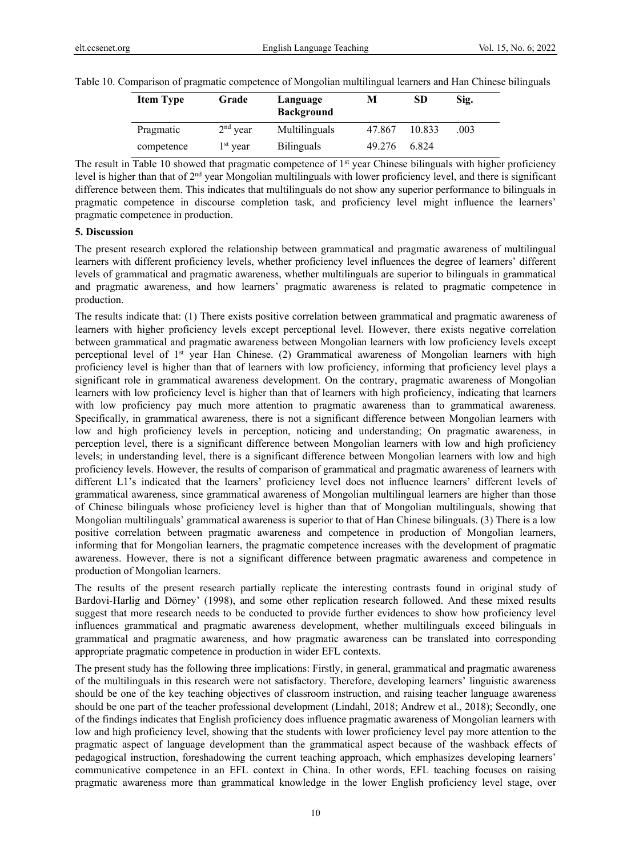|  |  |  | Table 10. Comparison of pragmatic competence of Mongolian multilingual learners and Han Chinese bilinguals |
|--|--|--|------------------------------------------------------------------------------------------------------------|
|  |  |  |                                                                                                            |

| <b>Item Type</b> | Grade      | Language<br><b>Background</b> | м      | SD     | Sig. |
|------------------|------------|-------------------------------|--------|--------|------|
| Pragmatic        | $2nd$ year | Multilinguals                 | 47.867 | 10.833 | .003 |
| competence       | $1st$ year | <b>Bilinguals</b>             | 49.276 | 6.824  |      |

The result in Table 10 showed that pragmatic competence of  $1<sup>st</sup>$  year Chinese bilinguals with higher proficiency level is higher than that of 2nd year Mongolian multilinguals with lower proficiency level, and there is significant difference between them. This indicates that multilinguals do not show any superior performance to bilinguals in pragmatic competence in discourse completion task, and proficiency level might influence the learners' pragmatic competence in production.

# **5. Discussion**

The present research explored the relationship between grammatical and pragmatic awareness of multilingual learners with different proficiency levels, whether proficiency level influences the degree of learners' different levels of grammatical and pragmatic awareness, whether multilinguals are superior to bilinguals in grammatical and pragmatic awareness, and how learners' pragmatic awareness is related to pragmatic competence in production.

The results indicate that: (1) There exists positive correlation between grammatical and pragmatic awareness of learners with higher proficiency levels except perceptional level. However, there exists negative correlation between grammatical and pragmatic awareness between Mongolian learners with low proficiency levels except perceptional level of  $1<sup>st</sup>$  year Han Chinese. (2) Grammatical awareness of Mongolian learners with high proficiency level is higher than that of learners with low proficiency, informing that proficiency level plays a significant role in grammatical awareness development. On the contrary, pragmatic awareness of Mongolian learners with low proficiency level is higher than that of learners with high proficiency, indicating that learners with low proficiency pay much more attention to pragmatic awareness than to grammatical awareness. Specifically, in grammatical awareness, there is not a significant difference between Mongolian learners with low and high proficiency levels in perception, noticing and understanding; On pragmatic awareness, in perception level, there is a significant difference between Mongolian learners with low and high proficiency levels; in understanding level, there is a significant difference between Mongolian learners with low and high proficiency levels. However, the results of comparison of grammatical and pragmatic awareness of learners with different L1's indicated that the learners' proficiency level does not influence learners' different levels of grammatical awareness, since grammatical awareness of Mongolian multilingual learners are higher than those of Chinese bilinguals whose proficiency level is higher than that of Mongolian multilinguals, showing that Mongolian multilinguals' grammatical awareness is superior to that of Han Chinese bilinguals. (3) There is a low positive correlation between pragmatic awareness and competence in production of Mongolian learners, informing that for Mongolian learners, the pragmatic competence increases with the development of pragmatic awareness. However, there is not a significant difference between pragmatic awareness and competence in production of Mongolian learners.

The results of the present research partially replicate the interesting contrasts found in original study of Bardovi-Harlig and Dörney' (1998), and some other replication research followed. And these mixed results suggest that more research needs to be conducted to provide further evidences to show how proficiency level influences grammatical and pragmatic awareness development, whether multilinguals exceed bilinguals in grammatical and pragmatic awareness, and how pragmatic awareness can be translated into corresponding appropriate pragmatic competence in production in wider EFL contexts.

The present study has the following three implications: Firstly, in general, grammatical and pragmatic awareness of the multilinguals in this research were not satisfactory. Therefore, developing learners' linguistic awareness should be one of the key teaching objectives of classroom instruction, and raising teacher language awareness should be one part of the teacher professional development (Lindahl, 2018; Andrew et al., 2018); Secondly, one of the findings indicates that English proficiency does influence pragmatic awareness of Mongolian learners with low and high proficiency level, showing that the students with lower proficiency level pay more attention to the pragmatic aspect of language development than the grammatical aspect because of the washback effects of pedagogical instruction, foreshadowing the current teaching approach, which emphasizes developing learners' communicative competence in an EFL context in China. In other words, EFL teaching focuses on raising pragmatic awareness more than grammatical knowledge in the lower English proficiency level stage, over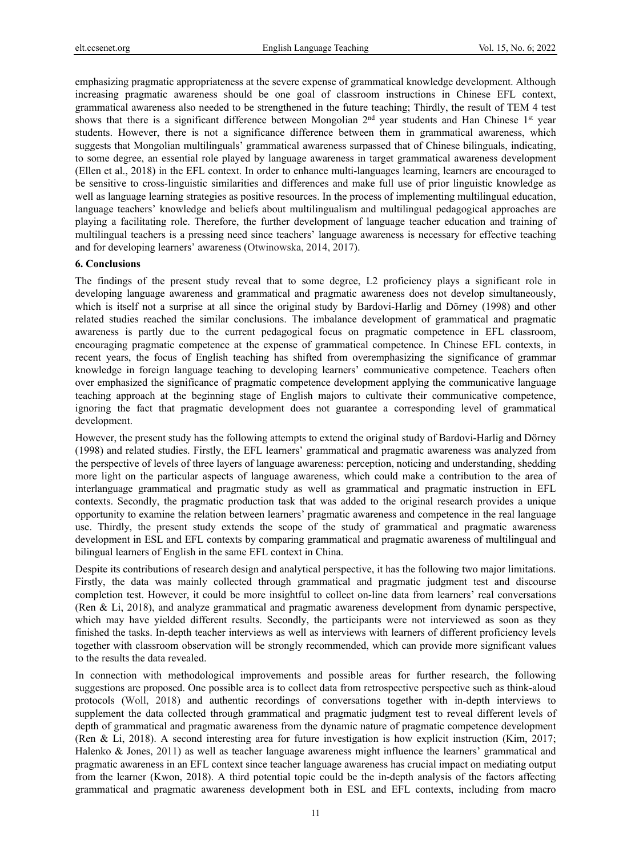emphasizing pragmatic appropriateness at the severe expense of grammatical knowledge development. Although increasing pragmatic awareness should be one goal of classroom instructions in Chinese EFL context, grammatical awareness also needed to be strengthened in the future teaching; Thirdly, the result of TEM 4 test shows that there is a significant difference between Mongolian 2<sup>nd</sup> year students and Han Chinese 1<sup>st</sup> year students. However, there is not a significance difference between them in grammatical awareness, which suggests that Mongolian multilinguals' grammatical awareness surpassed that of Chinese bilinguals, indicating, to some degree, an essential role played by language awareness in target grammatical awareness development (Ellen et al., 2018) in the EFL context. In order to enhance multi-languages learning, learners are encouraged to be sensitive to cross-linguistic similarities and differences and make full use of prior linguistic knowledge as well as language learning strategies as positive resources. In the process of implementing multilingual education, language teachers' knowledge and beliefs about multilingualism and multilingual pedagogical approaches are playing a facilitating role. Therefore, the further development of language teacher education and training of multilingual teachers is a pressing need since teachers' language awareness is necessary for effective teaching and for developing learners' awareness (Otwinowska, 2014, 2017).

#### **6. Conclusions**

The findings of the present study reveal that to some degree, L2 proficiency plays a significant role in developing language awareness and grammatical and pragmatic awareness does not develop simultaneously, which is itself not a surprise at all since the original study by Bardovi-Harlig and Dörney (1998) and other related studies reached the similar conclusions. The imbalance development of grammatical and pragmatic awareness is partly due to the current pedagogical focus on pragmatic competence in EFL classroom, encouraging pragmatic competence at the expense of grammatical competence. In Chinese EFL contexts, in recent years, the focus of English teaching has shifted from overemphasizing the significance of grammar knowledge in foreign language teaching to developing learners' communicative competence. Teachers often over emphasized the significance of pragmatic competence development applying the communicative language teaching approach at the beginning stage of English majors to cultivate their communicative competence, ignoring the fact that pragmatic development does not guarantee a corresponding level of grammatical development.

However, the present study has the following attempts to extend the original study of Bardovi-Harlig and Dörney (1998) and related studies. Firstly, the EFL learners' grammatical and pragmatic awareness was analyzed from the perspective of levels of three layers of language awareness: perception, noticing and understanding, shedding more light on the particular aspects of language awareness, which could make a contribution to the area of interlanguage grammatical and pragmatic study as well as grammatical and pragmatic instruction in EFL contexts. Secondly, the pragmatic production task that was added to the original research provides a unique opportunity to examine the relation between learners' pragmatic awareness and competence in the real language use. Thirdly, the present study extends the scope of the study of grammatical and pragmatic awareness development in ESL and EFL contexts by comparing grammatical and pragmatic awareness of multilingual and bilingual learners of English in the same EFL context in China.

Despite its contributions of research design and analytical perspective, it has the following two major limitations. Firstly, the data was mainly collected through grammatical and pragmatic judgment test and discourse completion test. However, it could be more insightful to collect on-line data from learners' real conversations (Ren & Li, 2018), and analyze grammatical and pragmatic awareness development from dynamic perspective, which may have yielded different results. Secondly, the participants were not interviewed as soon as they finished the tasks. In-depth teacher interviews as well as interviews with learners of different proficiency levels together with classroom observation will be strongly recommended, which can provide more significant values to the results the data revealed.

In connection with methodological improvements and possible areas for further research, the following suggestions are proposed. One possible area is to collect data from retrospective perspective such as think-aloud protocols (Woll, 2018) and authentic recordings of conversations together with in-depth interviews to supplement the data collected through grammatical and pragmatic judgment test to reveal different levels of depth of grammatical and pragmatic awareness from the dynamic nature of pragmatic competence development (Ren & Li, 2018). A second interesting area for future investigation is how explicit instruction (Kim, 2017; Halenko & Jones, 2011) as well as teacher language awareness might influence the learners' grammatical and pragmatic awareness in an EFL context since teacher language awareness has crucial impact on mediating output from the learner (Kwon, 2018). A third potential topic could be the in-depth analysis of the factors affecting grammatical and pragmatic awareness development both in ESL and EFL contexts, including from macro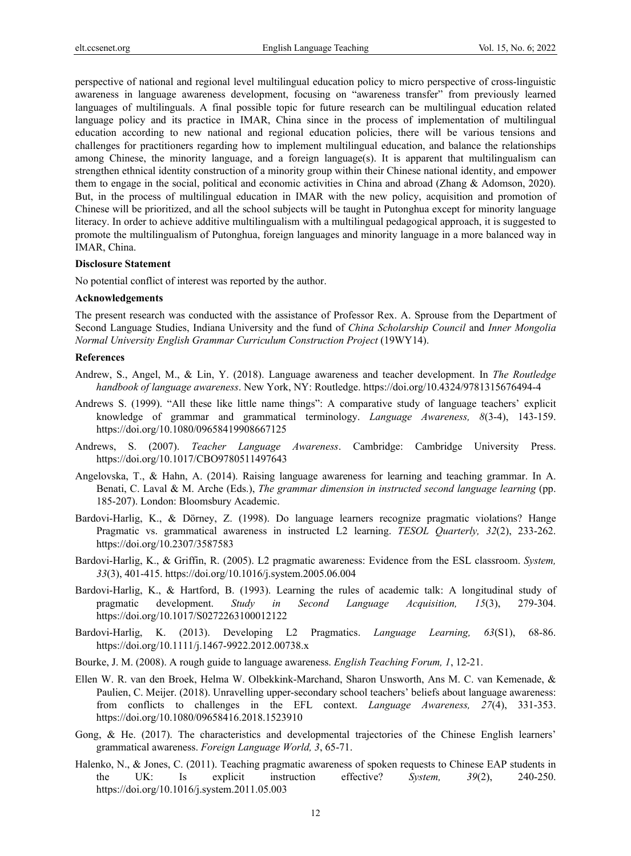perspective of national and regional level multilingual education policy to micro perspective of cross-linguistic awareness in language awareness development, focusing on "awareness transfer" from previously learned languages of multilinguals. A final possible topic for future research can be multilingual education related language policy and its practice in IMAR, China since in the process of implementation of multilingual education according to new national and regional education policies, there will be various tensions and challenges for practitioners regarding how to implement multilingual education, and balance the relationships among Chinese, the minority language, and a foreign language(s). It is apparent that multilingualism can strengthen ethnical identity construction of a minority group within their Chinese national identity, and empower them to engage in the social, political and economic activities in China and abroad (Zhang & Adomson, 2020). But, in the process of multilingual education in IMAR with the new policy, acquisition and promotion of Chinese will be prioritized, and all the school subjects will be taught in Putonghua except for minority language literacy. In order to achieve additive multilingualism with a multilingual pedagogical approach, it is suggested to promote the multilingualism of Putonghua, foreign languages and minority language in a more balanced way in IMAR, China.

#### **Disclosure Statement**

No potential conflict of interest was reported by the author.

## **Acknowledgements**

The present research was conducted with the assistance of Professor Rex. A. Sprouse from the Department of Second Language Studies, Indiana University and the fund of *China Scholarship Council* and *Inner Mongolia Normal University English Grammar Curriculum Construction Project* (19WY14).

# **References**

- Andrew, S., Angel, M., & Lin, Y. (2018). Language awareness and teacher development. In *The Routledge handbook of language awareness*. New York, NY: Routledge. https://doi.org/10.4324/9781315676494-4
- Andrews S. (1999). "All these like little name things": A comparative study of language teachers' explicit knowledge of grammar and grammatical terminology. *Language Awareness, 8*(3-4), 143-159. https://doi.org/10.1080/09658419908667125
- Andrews, S. (2007). *Teacher Language Awareness*. Cambridge: Cambridge University Press. https://doi.org/10.1017/CBO9780511497643
- Angelovska, T., & Hahn, A. (2014). Raising language awareness for learning and teaching grammar. In A. Benati, C. Laval & M. Arche (Eds.), *The grammar dimension in instructed second language learning* (pp. 185-207). London: Bloomsbury Academic.
- Bardovi-Harlig, K., & Dörney, Z. (1998). Do language learners recognize pragmatic violations? Hange Pragmatic vs. grammatical awareness in instructed L2 learning. *TESOL Quarterly, 32*(2), 233-262. https://doi.org/10.2307/3587583
- Bardovi-Harlig, K., & Griffin, R. (2005). L2 pragmatic awareness: Evidence from the ESL classroom. *System, 33*(3), 401-415. https://doi.org/10.1016/j.system.2005.06.004
- Bardovi-Harlig, K., & Hartford, B. (1993). Learning the rules of academic talk: A longitudinal study of pragmatic development. *Study in Second Language Acquisition, 15*(3), 279-304. https://doi.org/10.1017/S0272263100012122
- Bardovi-Harlig, K. (2013). Developing L2 Pragmatics. *Language Learning, 63*(S1), 68-86. https://doi.org/10.1111/j.1467-9922.2012.00738.x
- Bourke, J. M. (2008). A rough guide to language awareness. *English Teaching Forum, 1*, 12-21.
- Ellen W. R. van den Broek, Helma W. Olbekkink-Marchand, Sharon Unsworth, Ans M. C. van Kemenade, & Paulien, C. Meijer. (2018). Unravelling upper-secondary school teachers' beliefs about language awareness: from conflicts to challenges in the EFL context. *Language Awareness, 27*(4), 331-353. https://doi.org/10.1080/09658416.2018.1523910
- Gong, & He. (2017). The characteristics and developmental trajectories of the Chinese English learners' grammatical awareness. *Foreign Language World, 3*, 65-71.
- Halenko, N., & Jones, C. (2011). Teaching pragmatic awareness of spoken requests to Chinese EAP students in the UK: Is explicit instruction effective? *System, 39*(2), 240-250. https://doi.org/10.1016/j.system.2011.05.003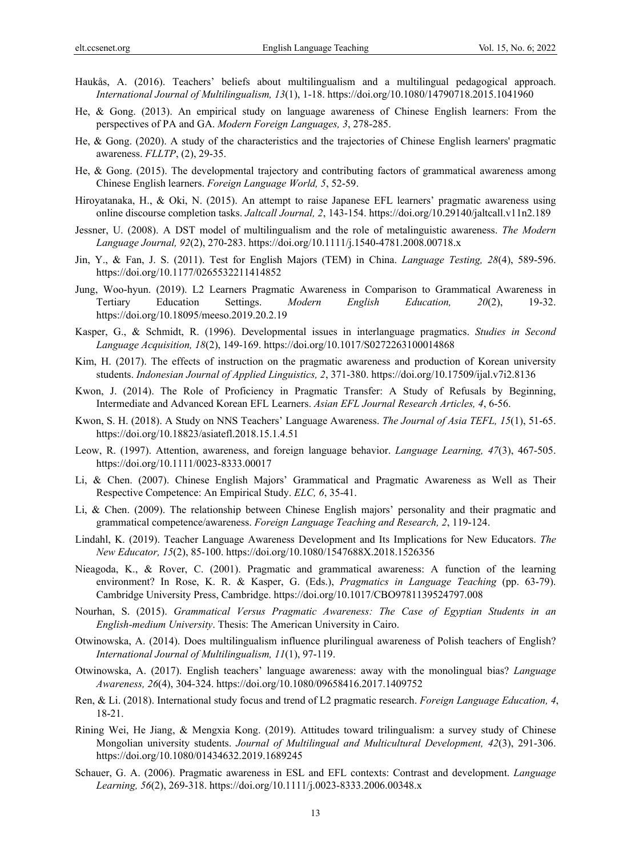- Haukås, A. (2016). Teachers' beliefs about multilingualism and a multilingual pedagogical approach. *International Journal of Multilingualism, 13*(1), 1-18. https://doi.org/10.1080/14790718.2015.1041960
- He, & Gong. (2013). An empirical study on language awareness of Chinese English learners: From the perspectives of PA and GA. *Modern Foreign Languages, 3*, 278-285.
- He, & Gong. (2020). A study of the characteristics and the trajectories of Chinese English learners' pragmatic awareness. *FLLTP*, (2), 29-35.
- He, & Gong. (2015). The developmental trajectory and contributing factors of grammatical awareness among Chinese English learners. *Foreign Language World, 5*, 52-59.
- Hiroyatanaka, H., & Oki, N. (2015). An attempt to raise Japanese EFL learners' pragmatic awareness using online discourse completion tasks. *Jaltcall Journal, 2*, 143-154. https://doi.org/10.29140/jaltcall.v11n2.189
- Jessner, U. (2008). A DST model of multilingualism and the role of metalinguistic awareness. *The Modern Language Journal, 92*(2), 270-283. https://doi.org/10.1111/j.1540-4781.2008.00718.x
- Jin, Y., & Fan, J. S. (2011). Test for English Majors (TEM) in China. *Language Testing, 28*(4), 589-596. https://doi.org/10.1177/0265532211414852
- Jung, Woo-hyun. (2019). L2 Learners Pragmatic Awareness in Comparison to Grammatical Awareness in Tertiary Education Settings. *Modern English Education, 20*(2), 19-32. https://doi.org/10.18095/meeso.2019.20.2.19
- Kasper, G., & Schmidt, R. (1996). Developmental issues in interlanguage pragmatics. *Studies in Second Language Acquisition, 18*(2), 149-169. https://doi.org/10.1017/S0272263100014868
- Kim, H. (2017). The effects of instruction on the pragmatic awareness and production of Korean university students. *Indonesian Journal of Applied Linguistics, 2*, 371-380. https://doi.org/10.17509/ijal.v7i2.8136
- Kwon, J. (2014). The Role of Proficiency in Pragmatic Transfer: A Study of Refusals by Beginning, Intermediate and Advanced Korean EFL Learners. *Asian EFL Journal Research Articles, 4*, 6-56.
- Kwon, S. H. (2018). A Study on NNS Teachers' Language Awareness. *The Journal of Asia TEFL, 15*(1), 51-65. https://doi.org/10.18823/asiatefl.2018.15.1.4.51
- Leow, R. (1997). Attention, awareness, and foreign language behavior. *Language Learning, 47*(3), 467-505. https://doi.org/10.1111/0023-8333.00017
- Li, & Chen. (2007). Chinese English Majors' Grammatical and Pragmatic Awareness as Well as Their Respective Competence: An Empirical Study. *ELC, 6*, 35-41.
- Li, & Chen. (2009). The relationship between Chinese English majors' personality and their pragmatic and grammatical competence/awareness. *Foreign Language Teaching and Research, 2*, 119-124.
- Lindahl, K. (2019). Teacher Language Awareness Development and Its Implications for New Educators. *The New Educator, 15*(2), 85-100. https://doi.org/10.1080/1547688X.2018.1526356
- Nieagoda, K., & Rover, C. (2001). Pragmatic and grammatical awareness: A function of the learning environment? In Rose, K. R. & Kasper, G. (Eds.), *Pragmatics in Language Teaching* (pp. 63-79). Cambridge University Press, Cambridge. https://doi.org/10.1017/CBO9781139524797.008
- Nourhan, S. (2015). *Grammatical Versus Pragmatic Awareness: The Case of Egyptian Students in an English-medium University*. Thesis: The American University in Cairo.
- Otwinowska, A. (2014). Does multilingualism influence plurilingual awareness of Polish teachers of English? *International Journal of Multilingualism, 11*(1), 97-119.
- Otwinowska, A. (2017). English teachers' language awareness: away with the monolingual bias? *Language Awareness, 26*(4), 304-324. https://doi.org/10.1080/09658416.2017.1409752
- Ren, & Li. (2018). International study focus and trend of L2 pragmatic research. *Foreign Language Education, 4*, 18-21.
- Rining Wei, He Jiang, & Mengxia Kong. (2019). Attitudes toward trilingualism: a survey study of Chinese Mongolian university students. *Journal of Multilingual and Multicultural Development, 42*(3), 291-306. https://doi.org/10.1080/01434632.2019.1689245
- Schauer, G. A. (2006). Pragmatic awareness in ESL and EFL contexts: Contrast and development. *Language Learning, 56*(2), 269-318. https://doi.org/10.1111/j.0023-8333.2006.00348.x